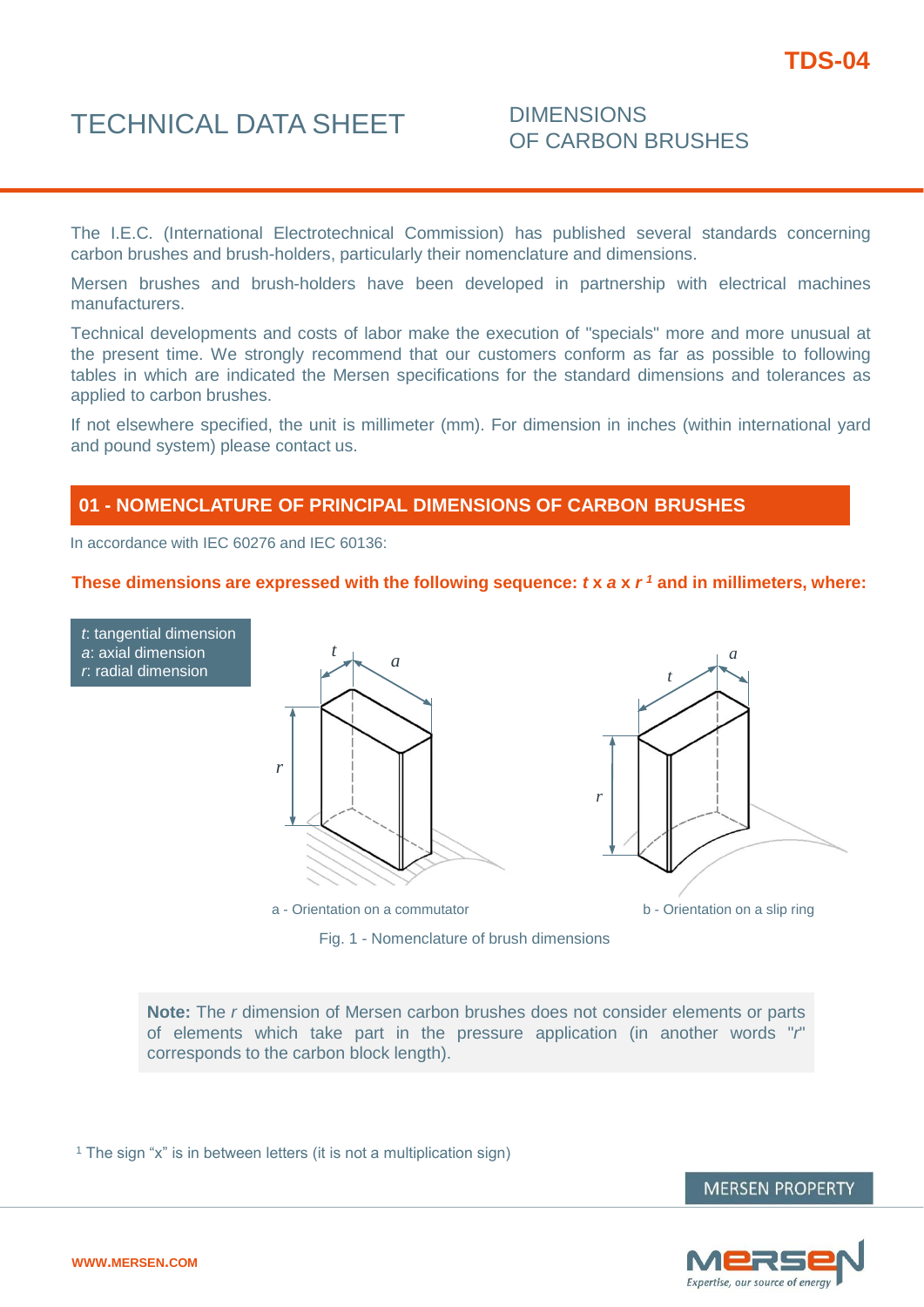### TECHNICAL DATA SHEET DIMENSIONS

## OF CARBON BRUSHES

The I.E.C. (International Electrotechnical Commission) has published several standards concerning carbon brushes and brush-holders, particularly their nomenclature and dimensions.

Mersen brushes and brush-holders have been developed in partnership with electrical machines manufacturers.

Technical developments and costs of labor make the execution of "specials" more and more unusual at the present time. We strongly recommend that our customers conform as far as possible to following tables in which are indicated the Mersen specifications for the standard dimensions and tolerances as applied to carbon brushes.

If not elsewhere specified, the unit is millimeter (mm). For dimension in inches (within international yard and pound system) please contact us.

#### **01 - NOMENCLATURE OF PRINCIPAL DIMENSIONS OF CARBON BRUSHES**

In accordance with IEC 60276 and IEC 60136:

#### **These dimensions are expressed with the following sequence:** *t* **x** *a* **x** *r <sup>1</sup>* **and in millimeters, where:**





a - Orientation on a commutator b - Orientation on a slip ring

**Note:** The *r* dimension of Mersen carbon brushes does not consider elements or parts of elements which take part in the pressure application (in another words "*r*" corresponds to the carbon block length).

Fig. 1 - Nomenclature of brush dimensions

<sup>1</sup> The sign "x" is in between letters (it is not a multiplication sign)

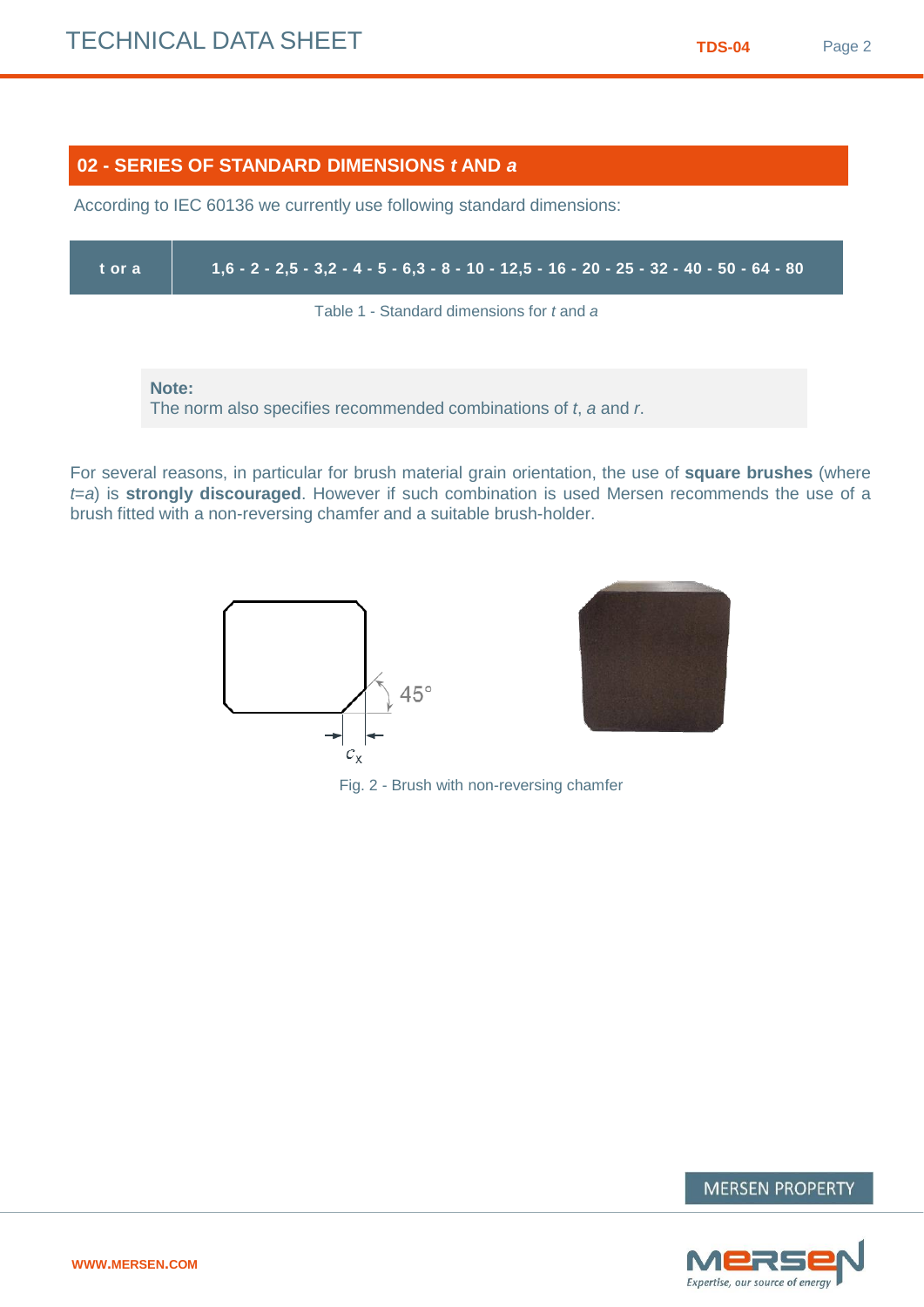#### **02 - SERIES OF STANDARD DIMENSIONS** *t* **AND** *a*

According to IEC 60136 we currently use following standard dimensions:

| t or a | $1,6$ - 2 - 2,5 - 3,2 - 4 - 5 - 6,3 - 8 - 10 - 12,5 - 16 - 20 - 25 - 32 - 40 - 50 - 64 - 80 |
|--------|---------------------------------------------------------------------------------------------|
|        | Table 1 - Standard dimensions for t and a                                                   |
|        | Note:<br>The norm also specifies recommended combinations of t, a and r.                    |

For several reasons, in particular for brush material grain orientation, the use of **square brushes** (where *t*=*a*) is **strongly discouraged**. However if such combination is used Mersen recommends the use of a brush fitted with a non-reversing chamfer and a suitable brush-holder.





Fig. 2 - Brush with non-reversing chamfer

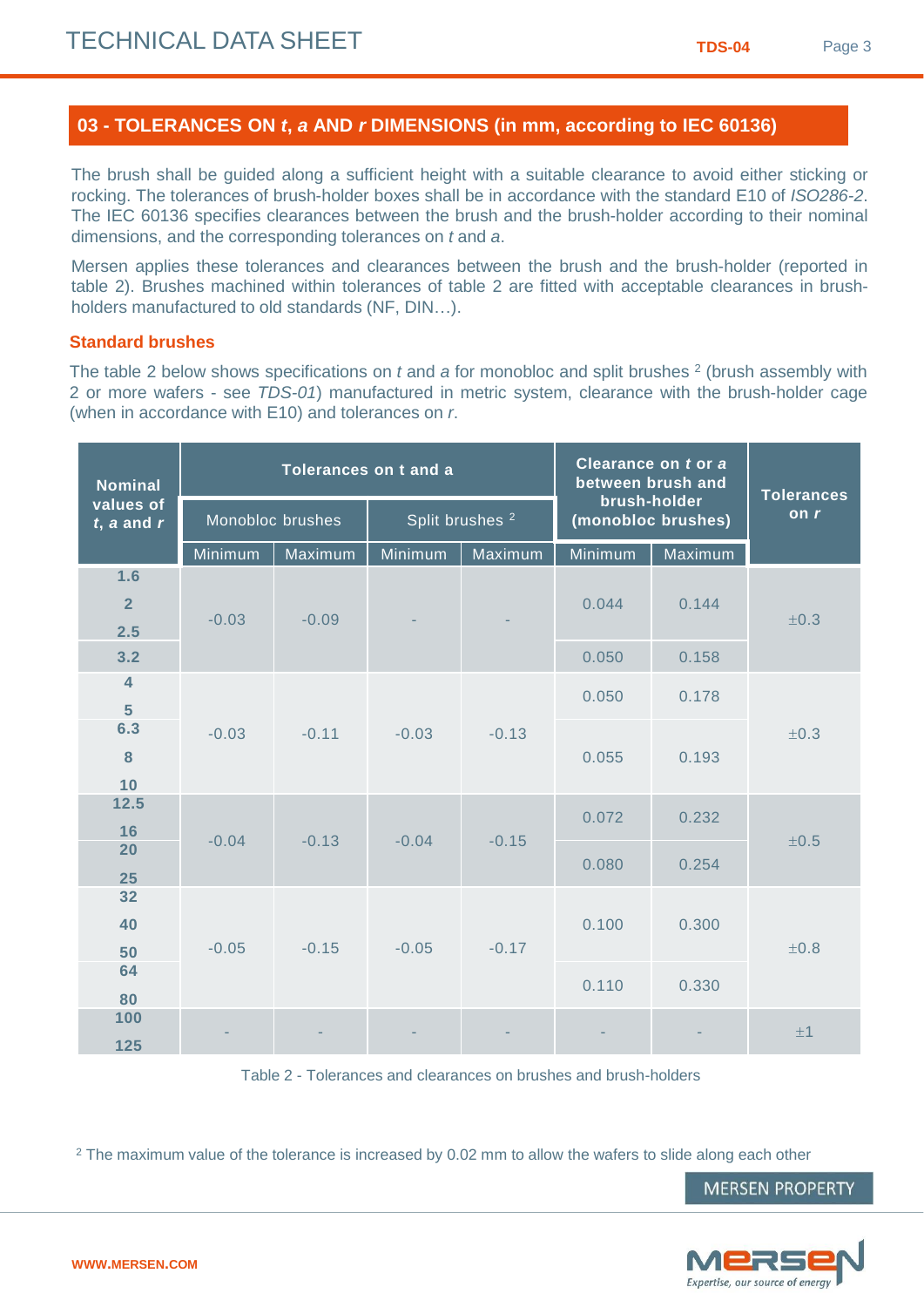#### **03 - TOLERANCES ON** *t***,** *a* **AND** *r* **DIMENSIONS (in mm, according to IEC 60136)**

The brush shall be guided along a sufficient height with a suitable clearance to avoid either sticking or rocking. The tolerances of brush-holder boxes shall be in accordance with the standard E10 of *ISO286-2*. The IEC 60136 specifies clearances between the brush and the brush-holder according to their nominal dimensions, and the corresponding tolerances on *t* and *a*.

Mersen applies these tolerances and clearances between the brush and the brush-holder (reported in table 2). Brushes machined within tolerances of table 2 are fitted with acceptable clearances in brushholders manufactured to old standards (NF, DIN…).

#### **Standard brushes**

The table 2 below shows specifications on *t* and *a* for monobloc and split brushes <sup>2</sup> (brush assembly with 2 or more wafers - see *TDS-01*) manufactured in metric system, clearance with the brush-holder cage (when in accordance with E10) and tolerances on *r*.

| <b>Nominal</b>               |         |                    | Tolerances on t and a |                            | Clearance on t or a<br>between brush and | <b>Tolerances</b><br>on r |           |  |
|------------------------------|---------|--------------------|-----------------------|----------------------------|------------------------------------------|---------------------------|-----------|--|
| values of<br>$t$ , a and $r$ |         | Monobloc brushes   |                       | Split brushes <sup>2</sup> | brush-holder<br>(monobloc brushes)       |                           |           |  |
|                              | Minimum | Maximum            | <b>Minimum</b>        | Maximum                    | Minimum                                  | Maximum                   |           |  |
| 1.6                          |         |                    |                       |                            |                                          |                           |           |  |
| $\overline{2}$               |         |                    |                       |                            | 0.044                                    | 0.144                     |           |  |
| 2.5                          | $-0.03$ | $-0.09$            |                       |                            |                                          |                           | $\pm 0.3$ |  |
| 3.2                          |         |                    |                       |                            | 0.050                                    | 0.158                     |           |  |
| $\overline{4}$               |         |                    |                       |                            | 0.050                                    | 0.178                     |           |  |
| $5\phantom{1}$               |         |                    |                       |                            |                                          |                           | ±0.3      |  |
| 6.3                          | $-0.03$ | $-0.11$            | $-0.03$               | $-0.13$                    |                                          |                           |           |  |
| 8                            |         |                    |                       |                            | 0.055                                    | 0.193                     |           |  |
| 10<br>12.5                   |         |                    |                       |                            |                                          |                           |           |  |
| 16                           |         |                    |                       |                            | 0.072                                    | 0.232                     |           |  |
| 20                           | $-0.04$ | $-0.13$            | $-0.04$               | $-0.15$                    |                                          |                           | $\pm 0.5$ |  |
| 25                           |         |                    |                       |                            | 0.080                                    | 0.254                     |           |  |
| 32                           |         |                    |                       |                            |                                          |                           |           |  |
| 40                           |         |                    |                       |                            | 0.100<br>0.300                           |                           |           |  |
| 50                           | $-0.05$ | $-0.15$<br>$-0.05$ |                       | $-0.17$                    |                                          |                           | ±0.8      |  |
| 64                           |         |                    |                       |                            | 0.110                                    | 0.330                     |           |  |
| 80                           |         |                    |                       |                            |                                          |                           |           |  |
| 100                          |         |                    |                       |                            |                                          |                           | ±1        |  |
| 125                          |         |                    |                       |                            |                                          |                           |           |  |

Table 2 - Tolerances and clearances on brushes and brush-holders

 $2$  The maximum value of the tolerance is increased by 0.02 mm to allow the wafers to slide along each other

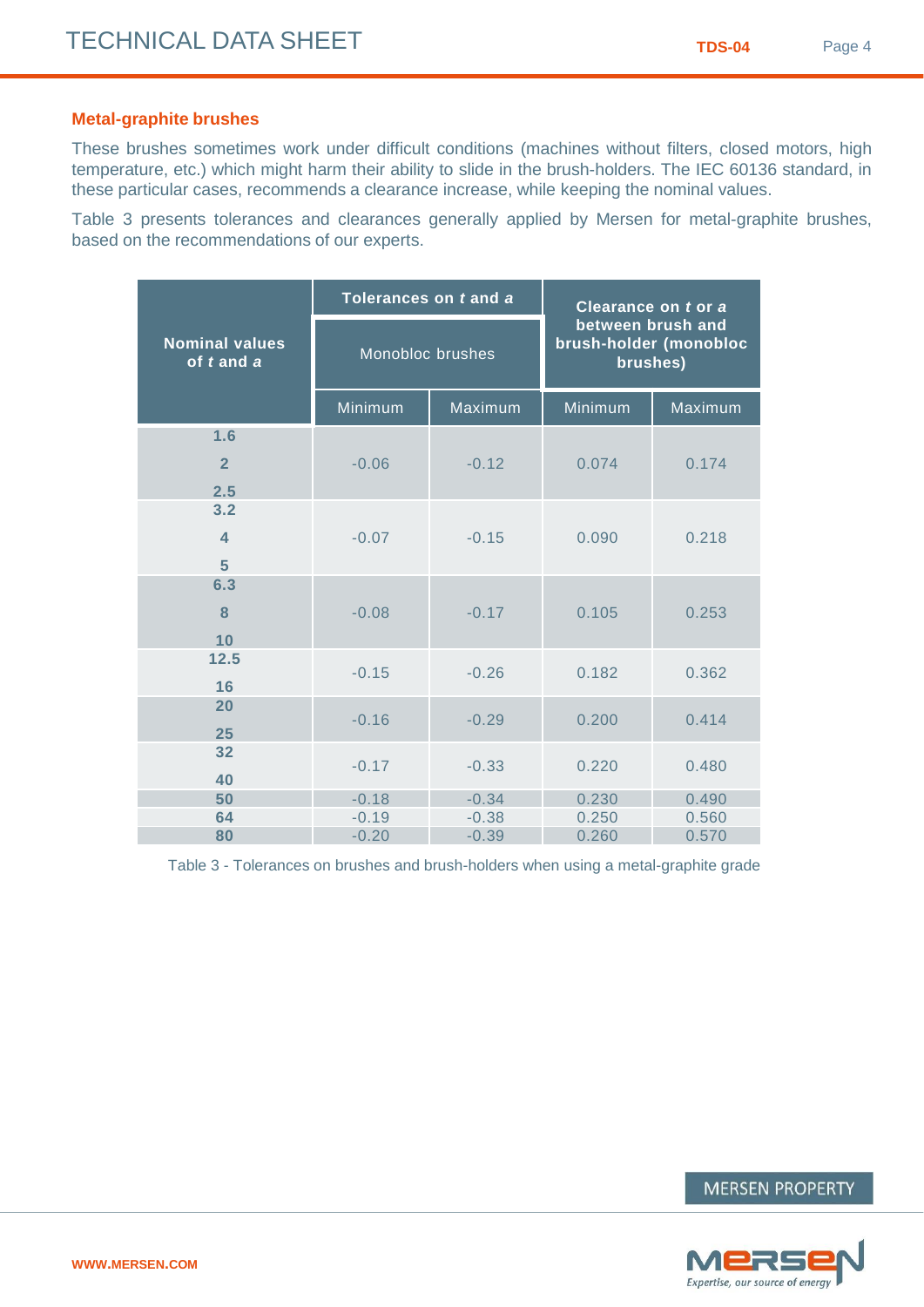#### **Metal-graphite brushes**

These brushes sometimes work under difficult conditions (machines without filters, closed motors, high temperature, etc.) which might harm their ability to slide in the brush-holders. The IEC 60136 standard, in these particular cases, recommends a clearance increase, while keeping the nominal values.

Table 3 presents tolerances and clearances generally applied by Mersen for metal-graphite brushes, based on the recommendations of our experts.

|                                                    | Tolerances on t and a |         | Clearance on t or a                         |          |  |  |
|----------------------------------------------------|-----------------------|---------|---------------------------------------------|----------|--|--|
| <b>Nominal values</b><br>of $t$ and $\overline{a}$ | Monobloc brushes      |         | between brush and<br>brush-holder (monobloc | brushes) |  |  |
|                                                    | Minimum               | Maximum | Minimum                                     | Maximum  |  |  |
| 1.6                                                |                       |         |                                             |          |  |  |
| $\overline{2}$                                     | $-0.06$               | $-0.12$ | 0.074                                       | 0.174    |  |  |
| 2.5                                                |                       |         |                                             |          |  |  |
| 3.2                                                |                       |         |                                             |          |  |  |
| $\overline{\mathbf{4}}$                            | $-0.07$               | $-0.15$ | 0.090                                       | 0.218    |  |  |
| 5                                                  |                       |         |                                             |          |  |  |
| 6.3                                                |                       |         |                                             |          |  |  |
| 8                                                  | $-0.08$               | $-0.17$ | 0.105                                       | 0.253    |  |  |
| 10                                                 |                       |         |                                             |          |  |  |
| 12.5                                               | $-0.15$               | $-0.26$ | 0.182                                       | 0.362    |  |  |
| 16                                                 |                       |         |                                             |          |  |  |
| 20                                                 | $-0.16$               | $-0.29$ | 0.200                                       | 0.414    |  |  |
| 25                                                 |                       |         |                                             |          |  |  |
| 32                                                 | $-0.17$               | $-0.33$ | 0.220                                       | 0.480    |  |  |
| 40                                                 |                       |         |                                             |          |  |  |
| 50                                                 | $-0.18$               | $-0.34$ | 0.230                                       | 0.490    |  |  |
| 64                                                 | $-0.19$               | $-0.38$ | 0.250                                       | 0.560    |  |  |
| 80                                                 | $-0.20$               | $-0.39$ | 0.260                                       | 0.570    |  |  |

Table 3 - Tolerances on brushes and brush-holders when using a metal-graphite grade

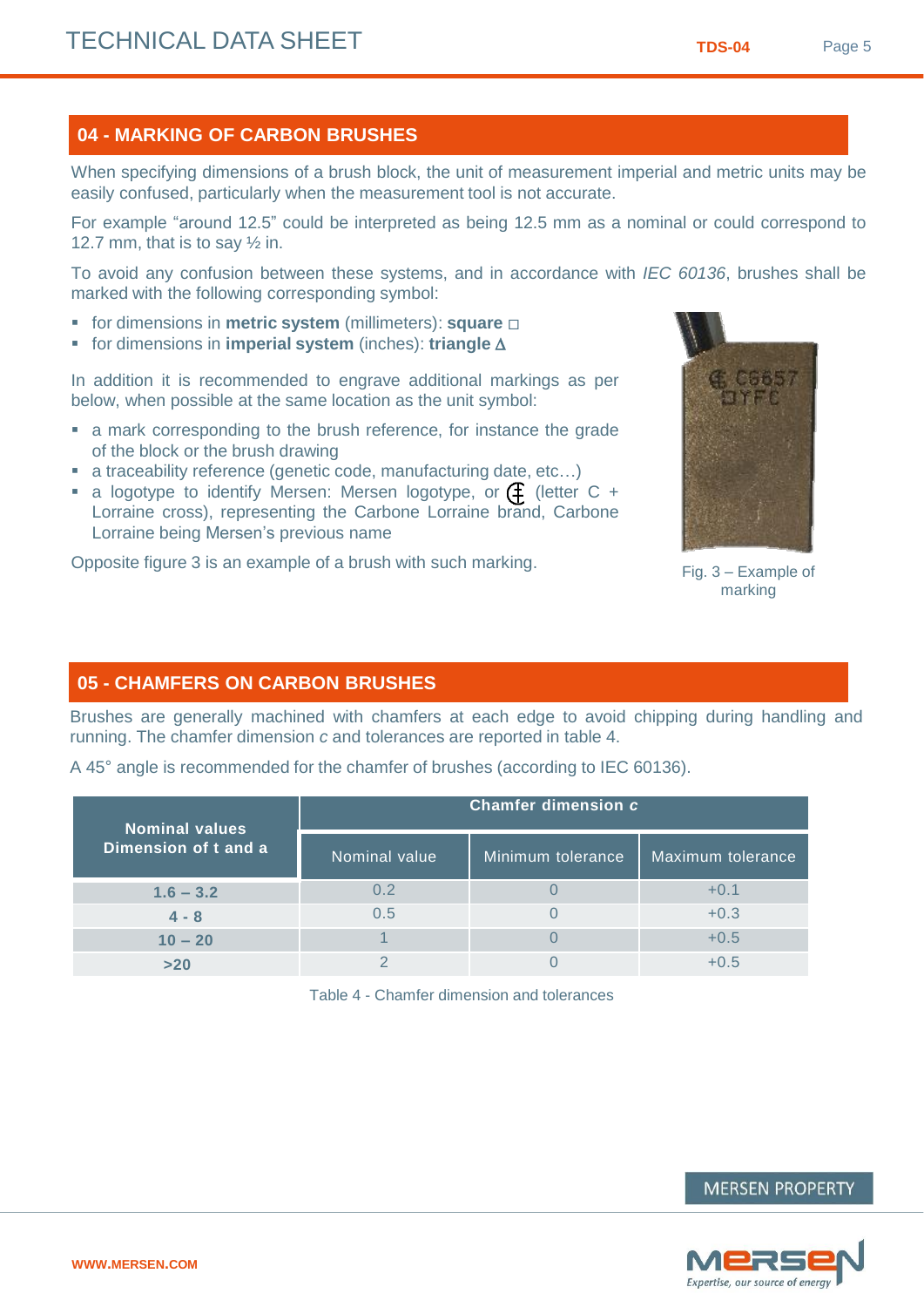**WWW.MERSEN.COM**

#### **04 - MARKING OF CARBON BRUSHES**

When specifying dimensions of a brush block, the unit of measurement imperial and metric units may be easily confused, particularly when the measurement tool is not accurate.

For example "around 12.5" could be interpreted as being 12.5 mm as a nominal or could correspond to 12.7 mm, that is to say  $\frac{1}{2}$  in.

To avoid any confusion between these systems, and in accordance with *IEC 60136*, brushes shall be marked with the following corresponding symbol:

- **for dimensions in metric system** (millimeters): **square**  $\Box$
- **for dimensions in imperial system** (inches): **triangle**  $\Delta$

In addition it is recommended to engrave additional markings as per below, when possible at the same location as the unit symbol:

- a mark corresponding to the brush reference, for instance the grade of the block or the brush drawing
- a traceability reference (genetic code, manufacturing date, etc…)
- a logotype to identify Mersen: Mersen logotype, or  $\left( \begin{matrix} 1 \\ 1 \end{matrix} \right)$  (letter C + Lorraine cross), representing the Carbone Lorraine brand, Carbone Lorraine being Mersen's previous name

Opposite figure 3 is an example of a brush with such marking.

#### **05 - CHAMFERS ON CARBON BRUSHES**

Brushes are generally machined with chamfers at each edge to avoid chipping during handling and running. The chamfer dimension *c* and tolerances are reported in table 4.

| <b>Nominal values</b> | Chamfer dimension c |                   |                   |  |  |  |  |
|-----------------------|---------------------|-------------------|-------------------|--|--|--|--|
| Dimension of t and a  | Nominal value       | Minimum tolerance | Maximum tolerance |  |  |  |  |

**1.6 – 3.2** 0.2 0 +0.1 **4 - 8** 0.5 0 +0.3 **10 – 20 1** 1 0 1 0 +0.5 **>20** 2 0 +0.5

A 45° angle is recommended for the chamfer of brushes (according to IEC 60136).

Table 4 - Chamfer dimension and tolerances



Fig. 3 – Example of marking

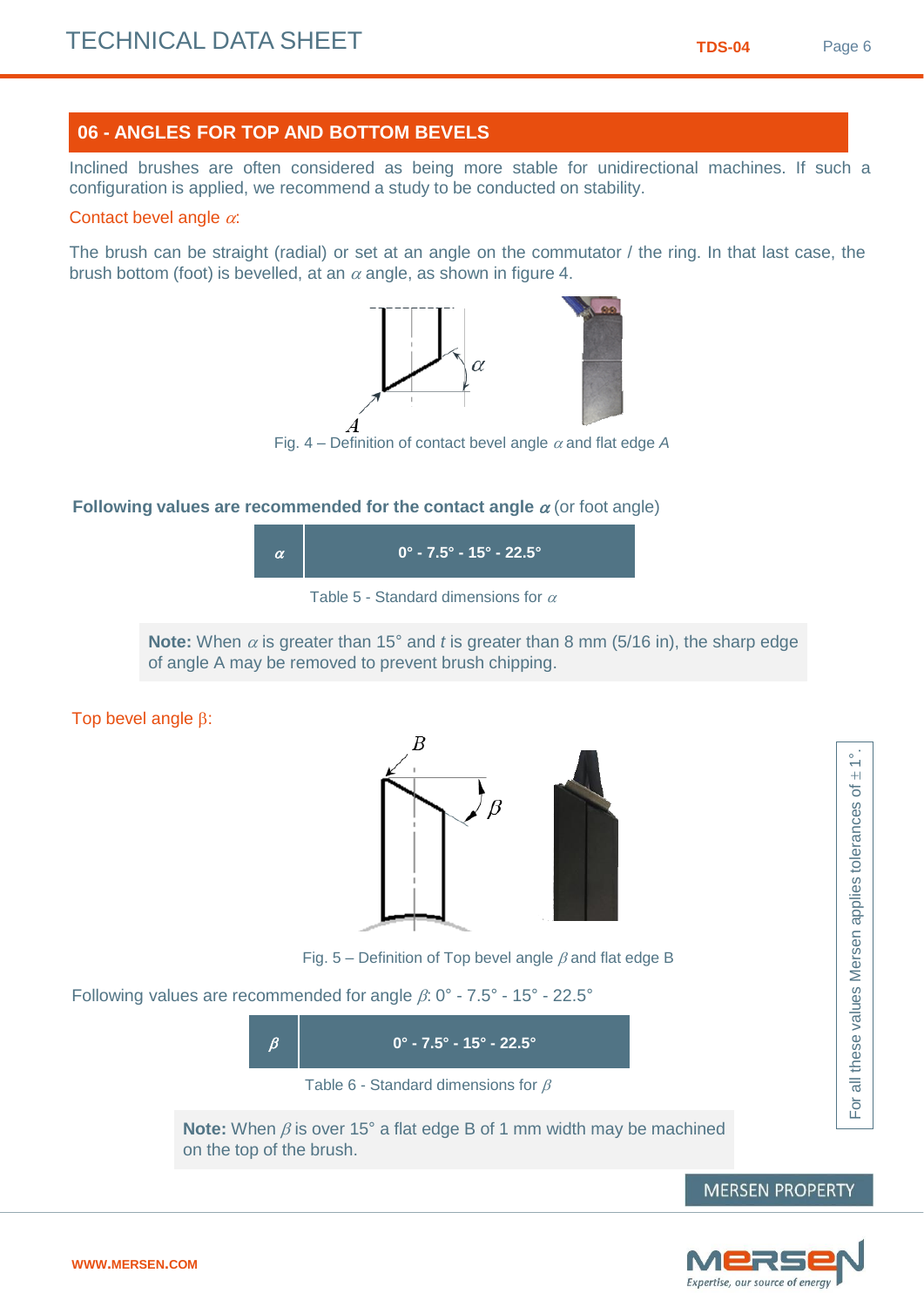#### **06 - ANGLES FOR TOP AND BOTTOM BEVELS**

Inclined brushes are often considered as being more stable for unidirectional machines. If such a configuration is applied, we recommend a study to be conducted on stability.

#### Contact bevel angle  $\alpha$ :

The brush can be straight (radial) or set at an angle on the commutator / the ring. In that last case, the brush bottom (foot) is bevelled, at an  $\alpha$  angle, as shown in figure 4.



#### **Following values are recommended for the contact angle**  $\alpha$  **(or foot angle)**





**Note:** When  $\alpha$  is greater than 15° and *t* is greater than 8 mm (5/16 in), the sharp edge of angle A may be removed to prevent brush chipping.

Top bevel angle  $\beta$ :



Fig. 5 – Definition of Top bevel angle  $\beta$  and flat edge B

Following values are recommended for angle  $\beta$ : 0° - 7.5° - 15° - 22.5°

 $\beta$  **0° - 7.5° - 15° - 22.5°** 

Table 6 - Standard dimensions for  $\beta$ 

**Note:** When  $\beta$  is over 15° a flat edge B of 1 mm width may be machined on the top of the brush.

**MERSEN PROPERTY** 

For all these values Mersen applies tolerances of

all these values Mersen applies tolerances

For

 $\sum_{n=1}^{\infty}$ 

 $\overline{\sigma}$ 

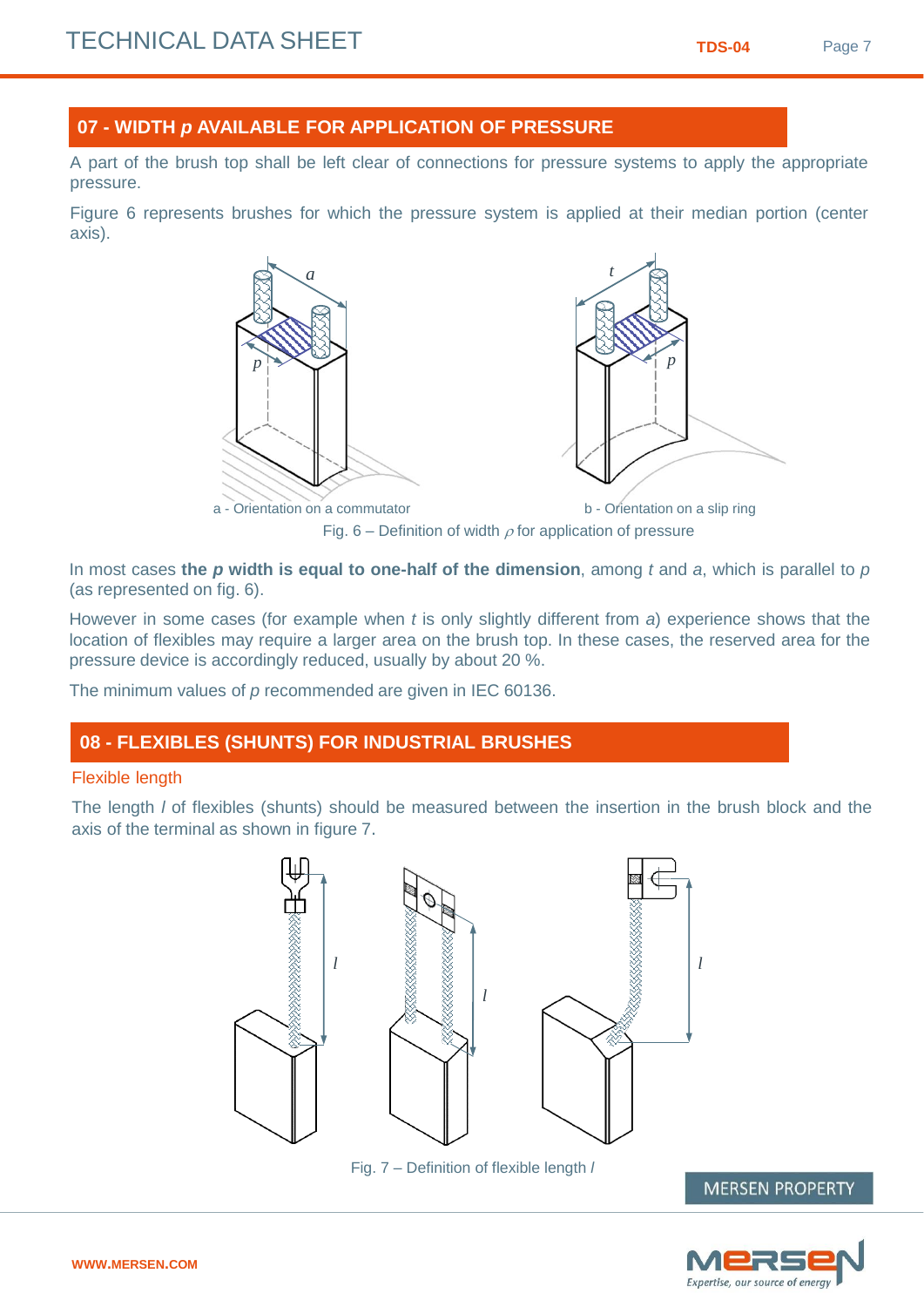#### **07 - WIDTH** *p* **AVAILABLE FOR APPLICATION OF PRESSURE**

A part of the brush top shall be left clear of connections for pressure systems to apply the appropriate pressure.

Figure 6 represents brushes for which the pressure system is applied at their median portion (center axis).



In most cases **the** *p* **width is equal to one-half of the dimension**, among *t* and *a*, which is parallel to *p* (as represented on fig. 6).

However in some cases (for example when *t* is only slightly different from *a*) experience shows that the location of flexibles may require a larger area on the brush top. In these cases, the reserved area for the pressure device is accordingly reduced, usually by about 20 %.

The minimum values of *p* recommended are given in IEC 60136.

#### **08 - FLEXIBLES (SHUNTS) FOR INDUSTRIAL BRUSHES**

#### Flexible length

The length *l* of flexibles (shunts) should be measured between the insertion in the brush block and the axis of the terminal as shown in figure 7.



Fig. 7 – Definition of flexible length *l*

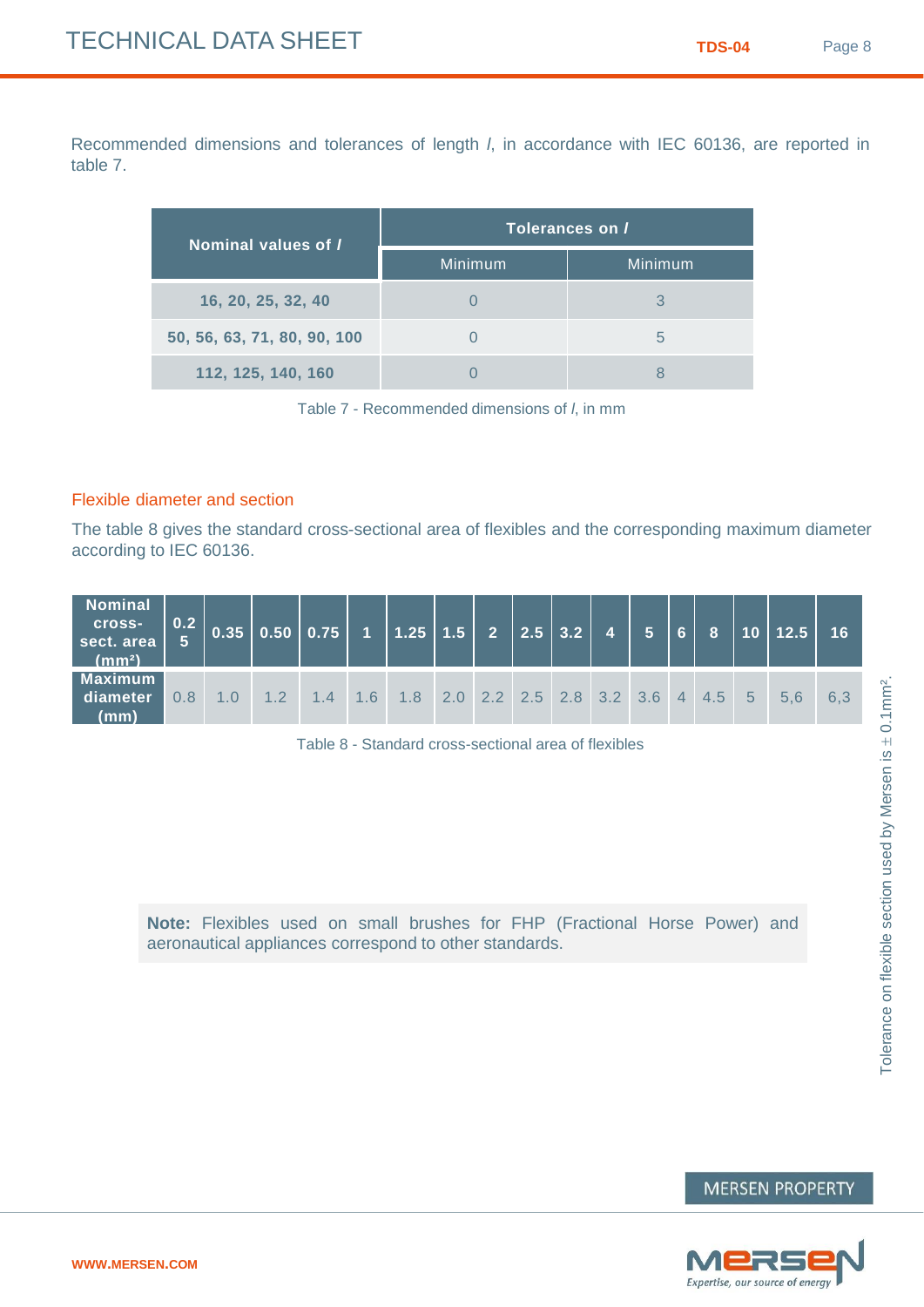Recommended dimensions and tolerances of length *l*, in accordance with IEC 60136, are reported in table 7.

| Nominal values of I         | Tolerances on / |               |  |  |  |  |  |
|-----------------------------|-----------------|---------------|--|--|--|--|--|
|                             | Minimum         | Minimum       |  |  |  |  |  |
| 16, 20, 25, 32, 40          |                 |               |  |  |  |  |  |
| 50, 56, 63, 71, 80, 90, 100 |                 | $\mathfrak b$ |  |  |  |  |  |
| 112, 125, 140, 160          |                 |               |  |  |  |  |  |

Table 7 - Recommended dimensions of *l*, in mm

#### Flexible diameter and section

The table 8 gives the standard cross-sectional area of flexibles and the corresponding maximum diameter according to IEC 60136.

| <b>Nominal</b><br>cross-<br>sect. area<br>(mm <sup>2</sup> ) | $\vert 0.2 \vert$ |       | $\vert 0.35 \vert 0.50 \vert 0.75 \vert 1 \vert 1.25 \vert 1.5 \vert 2 \vert 2.5 \vert 3.2 \vert 4 \vert 5 \vert 6 \vert$ |                                               |  |  |  | $\mathbf{8}$ | 10 12.5 | 16  |
|--------------------------------------------------------------|-------------------|-------|---------------------------------------------------------------------------------------------------------------------------|-----------------------------------------------|--|--|--|--------------|---------|-----|
| <b>Maximum</b><br>diameter<br>(mm)                           | 0.8               | $-12$ | $14$                                                                                                                      | $1.6$ 1.8 2.0 2.2 2.5 2.8 3.2 3.6 4 4.5 5 5.6 |  |  |  |              |         | 6.3 |

Table 8 - Standard cross-sectional area of flexibles

**Note:** Flexibles used on small brushes for FHP (Fractional Horse Power) and aeronautical appliances correspond to other standards.